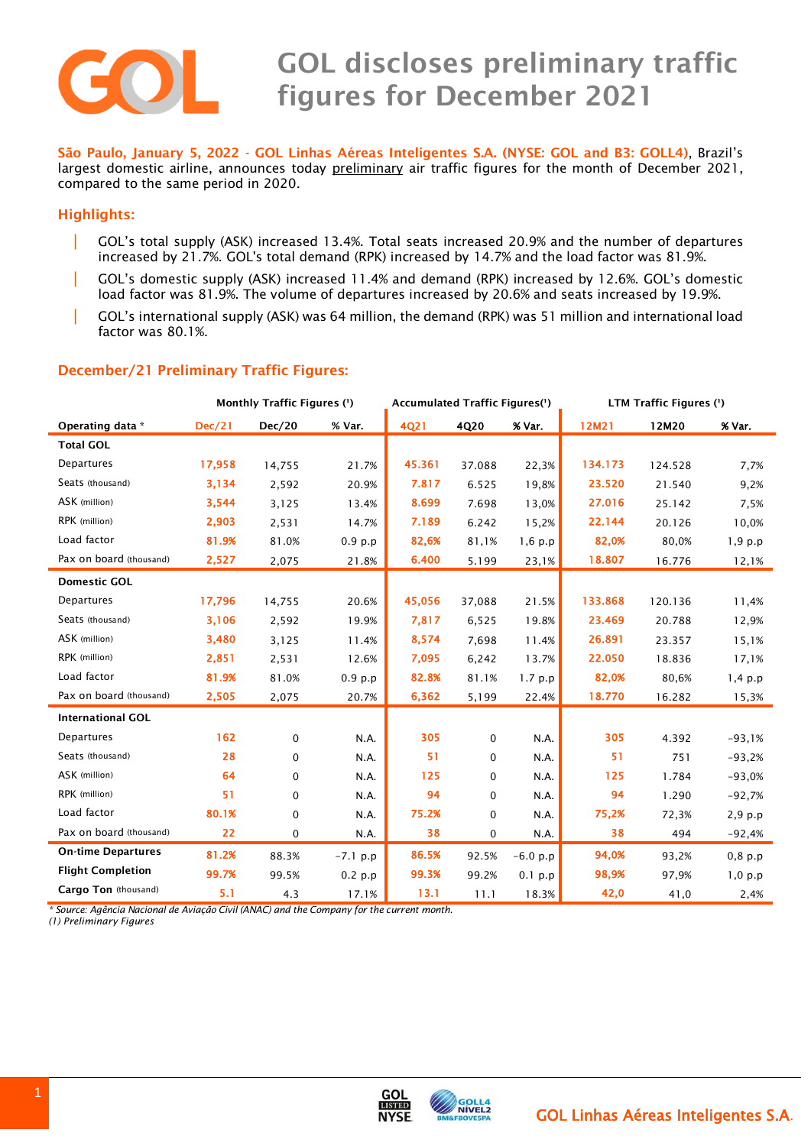

## **GOL discloses preliminary traffic figures for December 2021**

 **São Paulo, January 5, <sup>2022</sup> - GOL Linhas Aéreas Inteligentes S.A. (NYSE: GOL and B3: GOLL4)**, Brazil's largest domestic airline, announces today preliminary air traffic figures for the month of December 2021, compared to the same period in 2020.

## **Highlights:**

- GOL's total supply (ASK) increased 13.4%. Total seats increased 20.9% and the number of departures increased by 21.7%. GOL's total demand (RPK) increased by 14.7% and the load factor was 81.9%.
- | GOL's domestic supply (ASK) increased 11.4% and demand (RPK) increased by 12.6%. GOL's domestic load factor was 81.9%. The volume of departures increased by 20.6% and seats increased by 19.9%.
- | GOL's international supply (ASK) was 64 million, the demand (RPK) was 51 million and international load factor was 80.1%.

## **December/21 Preliminary Traffic Figures:**

|                           | Monthly Traffic Figures (1) |               |            | Accumulated Traffic Figures(1) |        |            | LTM Traffic Figures (') |         |           |
|---------------------------|-----------------------------|---------------|------------|--------------------------------|--------|------------|-------------------------|---------|-----------|
| Operating data *          | <b>Dec/21</b>               | <b>Dec/20</b> | % Var.     | 4021                           | 4Q20   | % Var.     | 12M21                   | 12M20   | % Var.    |
| <b>Total GOL</b>          |                             |               |            |                                |        |            |                         |         |           |
| Departures                | 17,958                      | 14,755        | 21.7%      | 45.361                         | 37.088 | 22,3%      | 134.173                 | 124.528 | 7,7%      |
| Seats (thousand)          | 3,134                       | 2,592         | 20.9%      | 7.817                          | 6.525  | 19,8%      | 23.520                  | 21.540  | 9,2%      |
| ASK (million)             | 3,544                       | 3,125         | 13.4%      | 8.699                          | 7.698  | 13,0%      | 27.016                  | 25.142  | 7,5%      |
| RPK (million)             | 2,903                       | 2,531         | 14.7%      | 7.189                          | 6.242  | 15,2%      | 22.144                  | 20.126  | 10,0%     |
| Load factor               | 81.9%                       | 81.0%         | 0.9 p.p    | 82,6%                          | 81,1%  | $1,6$ p.p  | 82,0%                   | 80,0%   | $1,9$ p.p |
| Pax on board (thousand)   | 2,527                       | 2,075         | 21.8%      | 6.400                          | 5.199  | 23,1%      | 18.807                  | 16.776  | 12,1%     |
| <b>Domestic GOL</b>       |                             |               |            |                                |        |            |                         |         |           |
| Departures                | 17,796                      | 14,755        | 20.6%      | 45,056                         | 37,088 | 21.5%      | 133.868                 | 120.136 | 11,4%     |
| Seats (thousand)          | 3,106                       | 2,592         | 19.9%      | 7,817                          | 6,525  | 19.8%      | 23.469                  | 20.788  | 12,9%     |
| ASK (million)             | 3,480                       | 3,125         | 11.4%      | 8,574                          | 7,698  | 11.4%      | 26.891                  | 23.357  | 15,1%     |
| RPK (million)             | 2,851                       | 2,531         | 12.6%      | 7,095                          | 6,242  | 13.7%      | 22.050                  | 18.836  | 17,1%     |
| Load factor               | 81.9%                       | 81.0%         | 0.9 p.p    | 82.8%                          | 81.1%  | 1.7 p.p    | 82,0%                   | 80,6%   | 1,4, p.p  |
| Pax on board (thousand)   | 2,505                       | 2,075         | 20.7%      | 6,362                          | 5,199  | 22.4%      | 18.770                  | 16.282  | 15,3%     |
| <b>International GOL</b>  |                             |               |            |                                |        |            |                         |         |           |
| <b>Departures</b>         | 162                         | 0             | N.A.       | 305                            | 0      | N.A.       | 305                     | 4.392   | $-93,1%$  |
| Seats (thousand)          | 28                          | 0             | N.A.       | 51                             | 0      | N.A.       | 51                      | 751     | $-93,2%$  |
| ASK (million)             | 64                          | $\mathbf 0$   | N.A.       | 125                            | 0      | N.A.       | 125                     | 1.784   | $-93,0%$  |
| RPK (million)             | 51                          | $\mathbf 0$   | N.A.       | 94                             | 0      | N.A.       | 94                      | 1.290   | $-92,7%$  |
| Load factor               | 80.1%                       | $\mathbf 0$   | N.A.       | 75.2%                          | 0      | N.A.       | 75,2%                   | 72,3%   | 2,9 p.p   |
| Pax on board (thousand)   | 22                          | 0             | N.A.       | 38                             | 0      | N.A.       | 38                      | 494     | $-92,4%$  |
| <b>On-time Departures</b> | 81.2%                       | 88.3%         | $-7.1$ p.p | 86.5%                          | 92.5%  | $-6.0 p.p$ | 94,0%                   | 93,2%   | $0,8$ p.p |
| <b>Flight Completion</b>  | 99.7%                       | 99.5%         | 0.2 p.p    | 99.3%                          | 99.2%  | $0.1$ p.p  | 98,9%                   | 97,9%   | 1,0, p.p  |
| Cargo Ton (thousand)      | 5.1                         | 4.3           | 17.1%      | 13.1                           | 11.1   | 18.3%      | 42,0                    | 41,0    | 2,4%      |

*\* Source: Agência Nacional de Aviação Civil (ANAC) and the Company for the current month.*

*(1) Preliminary Figures*